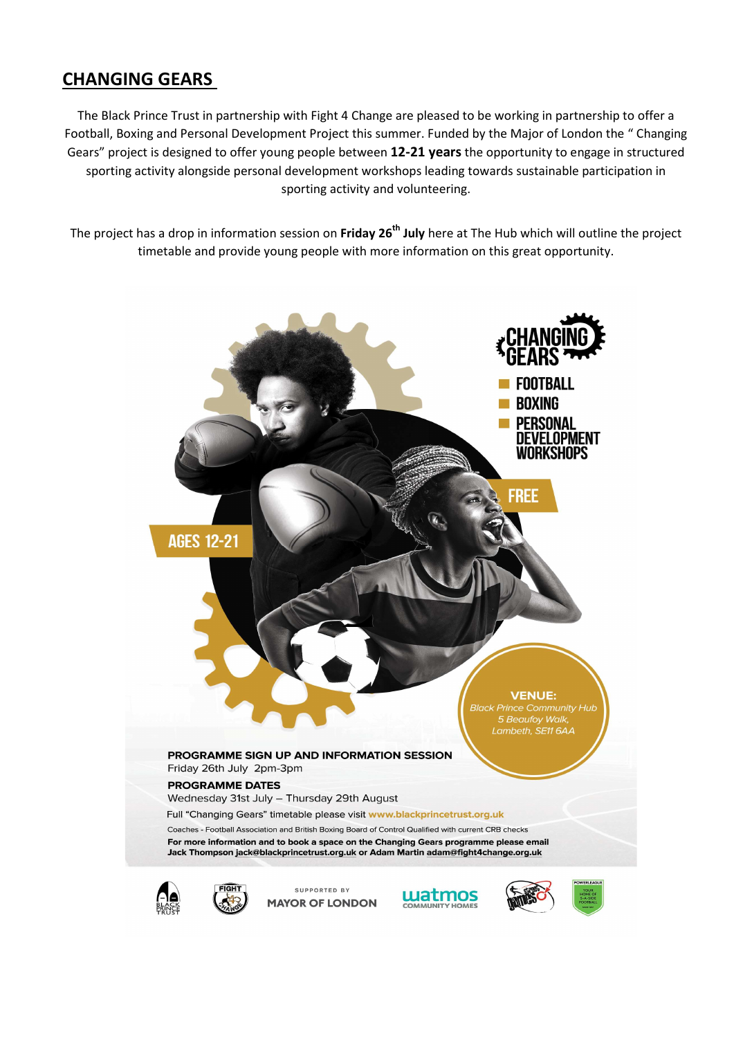## CHANGING GEARS

The Black Prince Trust in partnership with Fight 4 Change are pleased to be working in partnership to offer a Football, Boxing and Personal Development Project this summer. Funded by the Major of London the " Changing Gears" project is designed to offer young people between 12-21 years the opportunity to engage in structured sporting activity alongside personal development workshops leading towards sustainable participation in sporting activity and volunteering.

The project has a drop in information session on Friday 26<sup>th</sup> July here at The Hub which will outline the project timetable and provide young people with more information on this great opportunity.